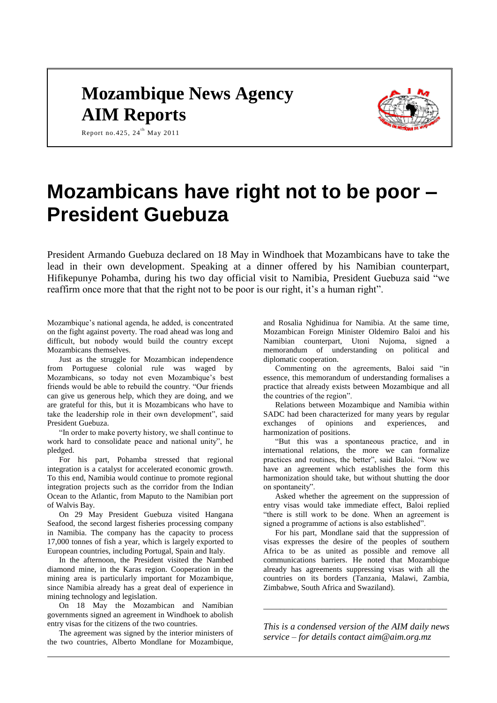## **Mozambique News Agency AIM Reports**



Report no.425,  $24^{th}$  May 2011

# **Mozambicans have right not to be poor – President Guebuza**

President Armando Guebuza declared on 18 May in Windhoek that Mozambicans have to take the lead in their own development. Speaking at a dinner offered by his Namibian counterpart, Hifikepunye Pohamba, during his two day official visit to Namibia, President Guebuza said "we reaffirm once more that that the right not to be poor is our right, it's a human right".

Mozambique's national agenda, he added, is concentrated on the fight against poverty. The road ahead was long and difficult, but nobody would build the country except Mozambicans themselves.

Just as the struggle for Mozambican independence from Portuguese colonial rule was waged by Mozambicans, so today not even Mozambique's best friends would be able to rebuild the country. "Our friends can give us generous help, which they are doing, and we are grateful for this, but it is Mozambicans who have to take the leadership role in their own development", said President Guebuza.

"In order to make poverty history, we shall continue to work hard to consolidate peace and national unity", he pledged.

For his part, Pohamba stressed that regional integration is a catalyst for accelerated economic growth. To this end, Namibia would continue to promote regional integration projects such as the corridor from the Indian Ocean to the Atlantic, from Maputo to the Namibian port of Walvis Bay.

On 29 May President Guebuza visited Hangana Seafood, the second largest fisheries processing company in Namibia. The company has the capacity to process 17,000 tonnes of fish a year, which is largely exported to European countries, including Portugal, Spain and Italy.

In the afternoon, the President visited the Nambed diamond mine, in the Karas region. Cooperation in the mining area is particularly important for Mozambique, since Namibia already has a great deal of experience in mining technology and legislation.

On 18 May the Mozambican and Namibian governments signed an agreement in Windhoek to abolish entry visas for the citizens of the two countries.

The agreement was signed by the interior ministers of the two countries, Alberto Mondlane for Mozambique,

and Rosalia Nghidinua for Namibia. At the same time, Mozambican Foreign Minister Oldemiro Baloi and his Namibian counterpart, Utoni Nujoma, signed a memorandum of understanding on political and diplomatic cooperation.

Commenting on the agreements, Baloi said "in essence, this memorandum of understanding formalises a practice that already exists between Mozambique and all the countries of the region".

Relations between Mozambique and Namibia within SADC had been characterized for many years by regular exchanges of opinions and experiences, and harmonization of positions.

"But this was a spontaneous practice, and in international relations, the more we can formalize practices and routines, the better", said Baloi. "Now we have an agreement which establishes the form this harmonization should take, but without shutting the door on spontaneity".

Asked whether the agreement on the suppression of entry visas would take immediate effect, Baloi replied "there is still work to be done. When an agreement is signed a programme of actions is also established".

For his part, Mondlane said that the suppression of visas expresses the desire of the peoples of southern Africa to be as united as possible and remove all communications barriers. He noted that Mozambique already has agreements suppressing visas with all the countries on its borders (Tanzania, Malawi, Zambia, Zimbabwe, South Africa and Swaziland).

*This is a condensed version of the AIM daily news service – for details contact [aim@aim.org.mz](mailto:aim@aim.org.mz)*

*\_\_\_\_\_\_\_\_\_\_\_\_\_\_\_\_\_\_\_\_\_\_\_\_\_\_\_\_\_\_\_\_\_\_\_\_\_\_\_\_\_\_\_\_*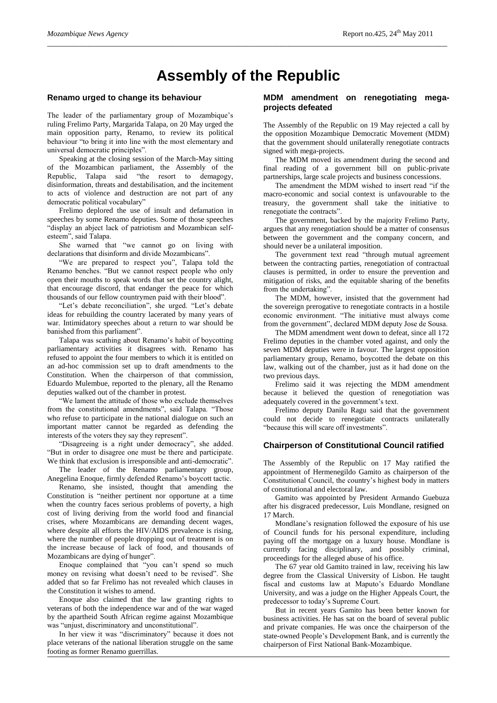### **Assembly of the Republic**

*\_\_\_\_\_\_\_\_\_\_\_\_\_\_\_\_\_\_\_\_\_\_\_\_\_\_\_\_\_\_\_\_\_\_\_\_\_\_\_\_\_\_\_\_\_\_\_\_\_\_\_\_\_\_\_\_\_\_\_\_\_\_\_\_\_\_\_\_\_\_\_\_\_\_\_\_\_\_\_\_\_\_\_\_\_\_\_\_\_\_\_\_\_\_\_\_*

#### **Renamo urged to change its behaviour**

The leader of the parliamentary group of Mozambique's ruling Frelimo Party, Margarida Talapa, on 20 May urged the main opposition party, Renamo, to review its political behaviour "to bring it into line with the most elementary and universal democratic principles".

Speaking at the closing session of the March-May sitting of the Mozambican parliament, the Assembly of the Republic, Talapa said "the resort to demagogy, disinformation, threats and destabilisation, and the incitement to acts of violence and destruction are not part of any democratic political vocabulary"

Frelimo deplored the use of insult and defamation in speeches by some Renamo deputies. Some of those speeches "display an abject lack of patriotism and Mozambican selfesteem", said Talapa.

She warned that "we cannot go on living with declarations that disinform and divide Mozambicans".

"We are prepared to respect you", Talapa told the Renamo benches. "But we cannot respect people who only open their mouths to speak words that set the country alight, that encourage discord, that endanger the peace for which thousands of our fellow countrymen paid with their blood".

"Let's debate reconciliation", she urged. "Let's debate ideas for rebuilding the country lacerated by many years of war. Intimidatory speeches about a return to war should be banished from this parliament".

Talapa was scathing about Renamo's habit of boycotting parliamentary activities it disagrees with. Renamo has refused to appoint the four members to which it is entitled on an ad-hoc commission set up to draft amendments to the Constitution. When the chairperson of that commission, Eduardo Mulembue, reported to the plenary, all the Renamo deputies walked out of the chamber in protest.

"We lament the attitude of those who exclude themselves from the constitutional amendments", said Talapa. "Those who refuse to participate in the national dialogue on such an important matter cannot be regarded as defending the interests of the voters they say they represent".

"Disagreeing is a right under democracy", she added. "But in order to disagree one must be there and participate. We think that exclusion is irresponsible and anti-democratic".

The leader of the Renamo parliamentary group, Anegelina Enoque, firmly defended Renamo's boycott tactic.

Renamo, she insisted, thought that amending the Constitution is "neither pertinent nor opportune at a time when the country faces serious problems of poverty, a high cost of living deriving from the world food and financial crises, where Mozambicans are demanding decent wages, where despite all efforts the HIV/AIDS prevalence is rising, where the number of people dropping out of treatment is on the increase because of lack of food, and thousands of Mozambicans are dying of hunger".

Enoque complained that "you can't spend so much money on revising what doesn't need to be revised". She added that so far Frelimo has not revealed which clauses in the Constitution it wishes to amend.

Enoque also claimed that the law granting rights to veterans of both the independence war and of the war waged by the apartheid South African regime against Mozambique was "unjust, discriminatory and unconstitutional".

In her view it was "discriminatory" because it does not place veterans of the national liberation struggle on the same footing as former Renamo guerrillas.

#### **MDM amendment on renegotiating megaprojects defeated**

The Assembly of the Republic on 19 May rejected a call by the opposition Mozambique Democratic Movement (MDM) that the government should unilaterally renegotiate contracts signed with mega-projects.

The MDM moved its amendment during the second and final reading of a government bill on public-private partnerships, large scale projects and business concessions.

The amendment the MDM wished to insert read "if the macro-economic and social context is unfavourable to the treasury, the government shall take the initiative to renegotiate the contracts".

The government, backed by the majority Frelimo Party, argues that any renegotiation should be a matter of consensus between the government and the company concern, and should never be a unilateral imposition.

The government text read "through mutual agreement between the contracting parties, renegotiation of contractual clauses is permitted, in order to ensure the prevention and mitigation of risks, and the equitable sharing of the benefits from the undertaking".

The MDM, however, insisted that the government had the sovereign prerogative to renegotiate contracts in a hostile economic environment. "The initiative must always come from the government", declared MDM deputy Jose de Sousa.

The MDM amendment went down to defeat, since all 172 Frelimo deputies in the chamber voted against, and only the seven MDM deputies were in favour. The largest opposition parliamentary group, Renamo, boycotted the debate on this law, walking out of the chamber, just as it had done on the two previous days.

Frelimo said it was rejecting the MDM amendment because it believed the question of renegotiation was adequately covered in the government's text.

Frelimo deputy Danilu Ragu said that the government could not decide to renegotiate contracts unilaterally "because this will scare off investments".

#### **Chairperson of Constitutional Council ratified**

The Assembly of the Republic on 17 May ratified the appointment of Hermenegildo Gamito as chairperson of the Constitutional Council, the country's highest body in matters of constitutional and electoral law.

Gamito was appointed by President Armando Guebuza after his disgraced predecessor, Luis Mondlane, resigned on 17 March.

Mondlane's resignation followed the exposure of his use of Council funds for his personal expenditure, including paying off the mortgage on a luxury house. Mondlane is currently facing disciplinary, and possibly criminal, proceedings for the alleged abuse of his office.

The 67 year old Gamito trained in law, receiving his law degree from the Classical University of Lisbon. He taught fiscal and customs law at Maputo's Eduardo Mondlane University, and was a judge on the Higher Appeals Court, the predecessor to today's Supreme Court.

But in recent years Gamito has been better known for business activities. He has sat on the board of several public and private companies. He was once the chairperson of the state-owned People's Development Bank, and is currently the chairperson of First National Bank-Mozambique.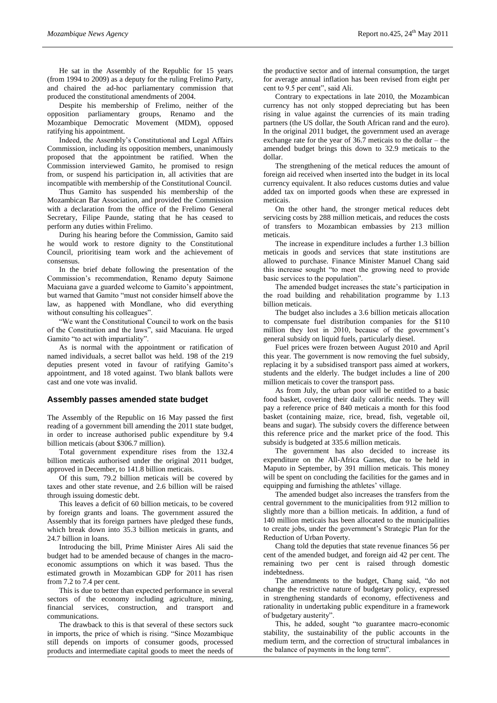He sat in the Assembly of the Republic for 15 years (from 1994 to 2009) as a deputy for the ruling Frelimo Party, and chaired the ad-hoc parliamentary commission that produced the constitutional amendments of 2004.

Despite his membership of Frelimo, neither of the opposition parliamentary groups, Renamo and the Mozambique Democratic Movement (MDM), opposed ratifying his appointment.

Indeed, the Assembly's Constitutional and Legal Affairs Commission, including its opposition members, unanimously proposed that the appointment be ratified. When the Commission interviewed Gamito, he promised to resign from, or suspend his participation in, all activities that are incompatible with membership of the Constitutional Council.

Thus Gamito has suspended his membership of the Mozambican Bar Association, and provided the Commission with a declaration from the office of the Frelimo General Secretary, Filipe Paunde, stating that he has ceased to perform any duties within Frelimo.

During his hearing before the Commission, Gamito said he would work to restore dignity to the Constitutional Council, prioritising team work and the achievement of consensus.

In the brief debate following the presentation of the Commission's recommendation, Renamo deputy Saimone Macuiana gave a guarded welcome to Gamito's appointment, but warned that Gamito "must not consider himself above the law, as happened with Mondlane, who did everything without consulting his colleagues".

"We want the Constitutional Council to work on the basis of the Constitution and the laws", said Macuiana. He urged Gamito "to act with impartiality".

As is normal with the appointment or ratification of named individuals, a secret ballot was held. 198 of the 219 deputies present voted in favour of ratifying Gamito's appointment, and 18 voted against. Two blank ballots were cast and one vote was invalid.

#### **Assembly passes amended state budget**

The Assembly of the Republic on 16 May passed the first reading of a government bill amending the 2011 state budget, in order to increase authorised public expenditure by 9.4 billion meticais (about \$306.7 million).

Total government expenditure rises from the 132.4 billion meticais authorised under the original 2011 budget, approved in December, to 141.8 billion meticais.

Of this sum, 79.2 billion meticais will be covered by taxes and other state revenue, and 2.6 billion will be raised through issuing domestic debt.

This leaves a deficit of 60 billion meticais, to be covered by foreign grants and loans. The government assured the Assembly that its foreign partners have pledged these funds, which break down into 35.3 billion meticais in grants, and 24.7 billion in loans.

Introducing the bill, Prime Minister Aires Ali said the budget had to be amended because of changes in the macroeconomic assumptions on which it was based. Thus the estimated growth in Mozambican GDP for 2011 has risen from 7.2 to 7.4 per cent.

This is due to better than expected performance in several sectors of the economy including agriculture, mining, financial services, construction, and transport and communications.

The drawback to this is that several of these sectors suck in imports, the price of which is rising. "Since Mozambique still depends on imports of consumer goods, processed products and intermediate capital goods to meet the needs of

the productive sector and of internal consumption, the target for average annual inflation has been revised from eight per cent to 9.5 per cent", said Ali.

Contrary to expectations in late 2010, the Mozambican currency has not only stopped depreciating but has been rising in value against the currencies of its main trading partners (the US dollar, the South African rand and the euro). In the original 2011 budget, the government used an average exchange rate for the year of 36.7 meticais to the dollar – the amended budget brings this down to 32.9 meticais to the dollar.

The strengthening of the metical reduces the amount of foreign aid received when inserted into the budget in its local currency equivalent. It also reduces customs duties and value added tax on imported goods when these are expressed in meticais.

On the other hand, the stronger metical reduces debt servicing costs by 288 million meticais, and reduces the costs of transfers to Mozambican embassies by 213 million meticais.

The increase in expenditure includes a further 1.3 billion meticais in goods and services that state institutions are allowed to purchase. Finance Minister Manuel Chang said this increase sought "to meet the growing need to provide basic services to the population".

The amended budget increases the state's participation in the road building and rehabilitation programme by 1.13 billion meticais.

The budget also includes a 3.6 billion meticais allocation to compensate fuel distribution companies for the \$110 million they lost in 2010, because of the government's general subsidy on liquid fuels, particularly diesel.

Fuel prices were frozen between August 2010 and April this year. The government is now removing the fuel subsidy, replacing it by a subsidised transport pass aimed at workers, students and the elderly. The budget includes a line of 200 million meticais to cover the transport pass.

As from July, the urban poor will be entitled to a basic food basket, covering their daily calorific needs. They will pay a reference price of 840 meticais a month for this food basket (containing maize, rice, bread, fish, vegetable oil, beans and sugar). The subsidy covers the difference between this reference price and the market price of the food. This subsidy is budgeted at 335.6 million meticais.

The government has also decided to increase its expenditure on the All-Africa Games, due to be held in Maputo in September, by 391 million meticais. This money will be spent on concluding the facilities for the games and in equipping and furnishing the athletes' village.

The amended budget also increases the transfers from the central government to the municipalities from 912 million to slightly more than a billion meticais. In addition, a fund of 140 million meticais has been allocated to the municipalities to create jobs, under the government's Strategic Plan for the Reduction of Urban Poverty.

Chang told the deputies that state revenue finances 56 per cent of the amended budget, and foreign aid 42 per cent. The remaining two per cent is raised through domestic indebtedness.

The amendments to the budget, Chang said, "do not change the restrictive nature of budgetary policy, expressed in strengthening standards of economy, effectiveness and rationality in undertaking public expenditure in a framework of budgetary austerity".

This, he added, sought "to guarantee macro-economic stability, the sustainability of the public accounts in the medium term, and the correction of structural imbalances in the balance of payments in the long term".